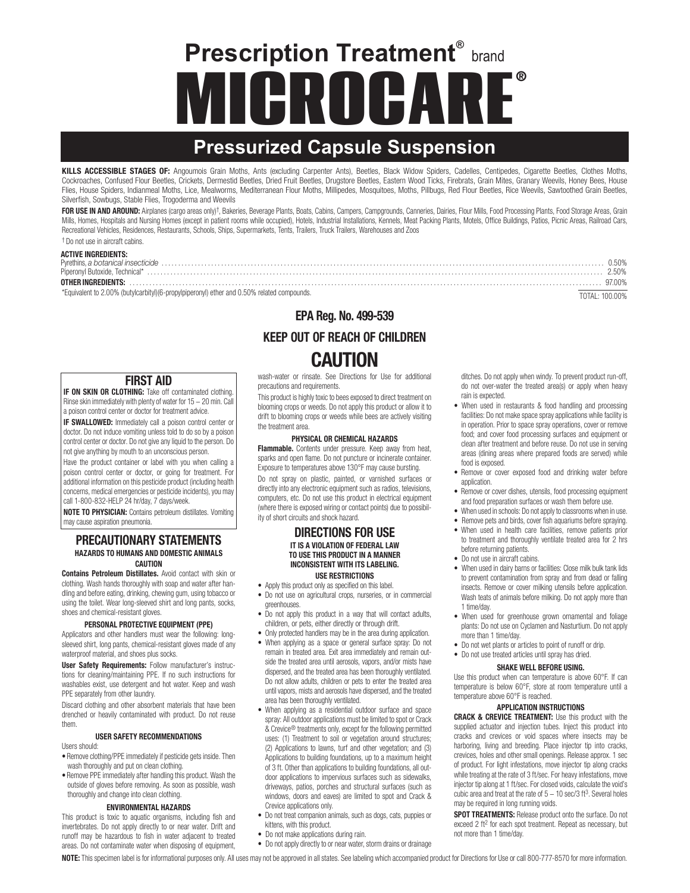# **Prescription Treatment®** brand **MICROCARE**®

# **Pressurized Capsule Suspension**

KILLS ACCESSIBLE STAGES OF: Angoumois Grain Moths, Ants (excluding Carpenter Ants), Beetles, Black Widow Spiders, Cadelles, Centipedes, Cigarette Beetles, Clothes Moths, Cockroaches, Confused Flour Beetles, Crickets, Dermestid Beetles, Dried Fruit Beetles, Drugstore Beetles, Eastern Wood Ticks, Firebrats, Grain Mites, Granary Weevils, Honey Bees, House Flies, House Spiders, Indianmeal Moths, Lice, Mealworms, Mediterranean Flour Moths, Millipedes, Mosquitoes, Moths, Pillbugs, Red Flour Beetles, Rice Weevils, Sawtoothed Grain Beetles, Silverfish, Sowbugs, Stable Flies, Trogoderma and Weevils

FOR USE IN AND AROUND: Airplanes (cargo areas only)<sup>†</sup>, Bakeries, Beverage Plants, Boats, Cabins, Campers, Campgrounds, Canneries, Dairies, Flour Mills, Food Processing Plants, Food Storage Areas, Grain Mills, Homes, Hospitals and Nursing Homes (except in patient rooms while occupied), Hotels, Industrial Installations, Kennels, Meat Packing Plants, Motels, Office Buildings, Patios, Picnic Areas, Railroad Cars, Recreational Vehicles, Residences, Restaurants, Schools, Ships, Supermarkets, Tents, Trailers, Truck Trailers, Warehouses and Zoos † Do not use in aircraft cabins.

| <b>ACTIVE INGREDIENTS:</b>                                                                  |                |
|---------------------------------------------------------------------------------------------|----------------|
|                                                                                             | 0.50%          |
|                                                                                             | 2.50%          |
|                                                                                             | 97.00%         |
| *Equivalent to 2.00% (butylcarbityl) (6-propylpiperonyl) ether and 0.50% related compounds. | TOTAL: 100.00% |

## FIRST AID

**IF ON SKIN OR CLOTHING:** Take off contaminated clothing. Rinse skin immediately with plenty of water for 15 − 20 min. Call a poison control center or doctor for treatment advice.

IF SWALLOWED: Immediately call a poison control center or doctor. Do not induce vomiting unless told to do so by a poison control center or doctor. Do not give any liquid to the person. Do not give anything by mouth to an unconscious person.

Have the product container or label with you when calling a poison control center or doctor, or going for treatment. For additional information on this pesticide product (including health concerns, medical emergencies or pesticide incidents), you may call 1-800-832-HELP 24 hr/day, 7 days/week.

NOTE TO PHYSICIAN: Contains petroleum distillates. Vomiting may cause aspiration pneumonia.

#### PRECAUTIONARY STATEMENTS HAZARDS TO HUMANS AND DOMESTIC ANIMALS **CAUTION**

Contains Petroleum Distillates. Avoid contact with skin or clothing. Wash hands thoroughly with soap and water after handling and before eating, drinking, chewing gum, using tobacco or using the toilet. Wear long-sleeved shirt and long pants, socks, shoes and chemical-resistant gloves.

#### PERSONAL PROTECTIVE EQUIPMENT (PPE)

Applicators and other handlers must wear the following: longsleeved shirt, long pants, chemical-resistant gloves made of any waterproof material, and shoes plus socks.

User Safety Requirements: Follow manufacturer's instructions for cleaning/maintaining PPE. If no such instructions for washables exist, use detergent and hot water. Keep and wash PPE separately from other laundry.

Discard clothing and other absorbent materials that have been drenched or heavily contaminated with product. Do not reuse them.

#### USER SAFETY RECOMMENDATIONS

Users should:

- Remove clothing/PPE immediately if pesticide gets inside. Then wash thoroughly and put on clean clothing.
- Remove PPE immediately after handling this product. Wash the outside of gloves before removing. As soon as possible, wash thoroughly and change into clean clothing.

#### ENVIRONMENTAL HAZARDS

This product is toxic to aquatic organisms, including fish and invertebrates. Do not apply directly to or near water. Drift and runoff may be hazardous to fish in water adjacent to treated areas. Do not contaminate water when disposing of equipment,

# EPA Reg. No. 499-539 KEEP OUT OF REACH OF CHILDREN CAUTION

wash-water or rinsate. See Directions for Use for additional precautions and requirements.

This product is highly toxic to bees exposed to direct treatment on blooming crops or weeds. Do not apply this product or allow it to drift to blooming crops or weeds while bees are actively visiting the treatment area.

#### PHYSICAL OR CHEMICAL HAZARDS

Flammable. Contents under pressure. Keep away from heat, sparks and open flame. Do not puncture or incinerate container. Exposure to temperatures above 130°F may cause bursting. Do not spray on plastic, painted, or varnished surfaces or directly into any electronic equipment such as radios, televisions, computers, etc. Do not use this product in electrical equipment (where there is exposed wiring or contact points) due to possibility of short circuits and shock hazard.

#### DIRECTIONS FOR USE IT IS A VIOLATION OF FEDERAL LAW TO USE THIS PRODUCT IN A MANNER INCONSISTENT WITH ITS LABELING. USE RESTRICTIONS

- Apply this product only as specified on this label.
- Do not use on agricultural crops, nurseries, or in commercial greenhouses.
- Do not apply this product in a way that will contact adults, children, or pets, either directly or through drift.
- Only protected handlers may be in the area during application.
- When applying as a space or general surface spray: Do not remain in treated area. Exit area immediately and remain outside the treated area until aerosols, vapors, and/or mists have dispersed, and the treated area has been thoroughly ventilated. Do not allow adults, children or pets to enter the treated area until vapors, mists and aerosols have dispersed, and the treated area has been thoroughly ventilated.
- When applying as a residential outdoor surface and space spray: All outdoor applications must be limited to spot or Crack & Crevice® treatments only, except for the following permitted uses: (1) Treatment to soil or vegetation around structures; (2) Applications to lawns, turf and other vegetation; and (3) Applications to building foundations, up to a maximum height of 3 ft. Other than applications to building foundations, all outdoor applications to impervious surfaces such as sidewalks, driveways, patios, porches and structural surfaces (such as windows, doors and eaves) are limited to spot and Crack & Crevice applications only.
- Do not treat companion animals, such as dogs, cats, puppies or kittens, with this product.
- Do not make applications during rain.
- Do not apply directly to or near water, storm drains or drainage

ditches. Do not apply when windy. To prevent product run-off, do not over-water the treated area(s) or apply when heavy rain is expected.

- When used in restaurants & food handling and processing facilities: Do not make space spray applications while facility is in operation. Prior to space spray operations, cover or remove food; and cover food processing surfaces and equipment or clean after treatment and before reuse. Do not use in serving areas (dining areas where prepared foods are served) while food is exposed.
- Remove or cover exposed food and drinking water before application.
- Remove or cover dishes, utensils, food processing equipment and food preparation surfaces or wash them before use.
- When used in schools: Do not apply to classrooms when in use.
- Remove pets and birds, cover fish aquariums before spraying.
- When used in health care facilities, remove patients prior to treatment and thoroughly ventilate treated area for 2 hrs before returning patients.
- Do not use in aircraft cabins.
- When used in dairy barns or facilities: Close milk bulk tank lids to prevent contamination from spray and from dead or falling insects. Remove or cover milking utensils before application. Wash teats of animals before milking. Do not apply more than 1 time/day.
- When used for greenhouse grown ornamental and foliage plants: Do not use on Cyclamen and Nasturtium. Do not apply more than 1 time/day.
- Do not wet plants or articles to point of runoff or drip.
- Do not use treated articles until spray has dried.

#### SHAKE WELL BEFORE USING.

Use this product when can temperature is above 60°F. If can temperature is below 60°F, store at room temperature until a temperature above 60°F is reached.

#### APPLICATION INSTRUCTIONS

CRACK & CREVICE TREATMENT: Use this product with the supplied actuator and injection tubes. Inject this product into cracks and crevices or void spaces where insects may be harboring, living and breeding. Place injector tip into cracks, crevices, holes and other small openings. Release approx. 1 sec of product. For light infestations, move injector tip along cracks while treating at the rate of 3 ft/sec. For heavy infestations, move injector tip along at 1 ft/sec. For closed voids, calculate the void's cubic area and treat at the rate of 5 − 10 sec/3 ft<sup>3</sup>. Several holes may be required in long running voids.

SPOT TREATMENTS: Release product onto the surface. Do not exceed 2 ft<sup>2</sup> for each spot treatment. Repeat as necessary, but not more than 1 time/day.

NOTE: This specimen label is for informational purposes only. All uses may not be approved in all states. See labeling which accompanied product for Directions for Use or call 800-777-8570 for more information.